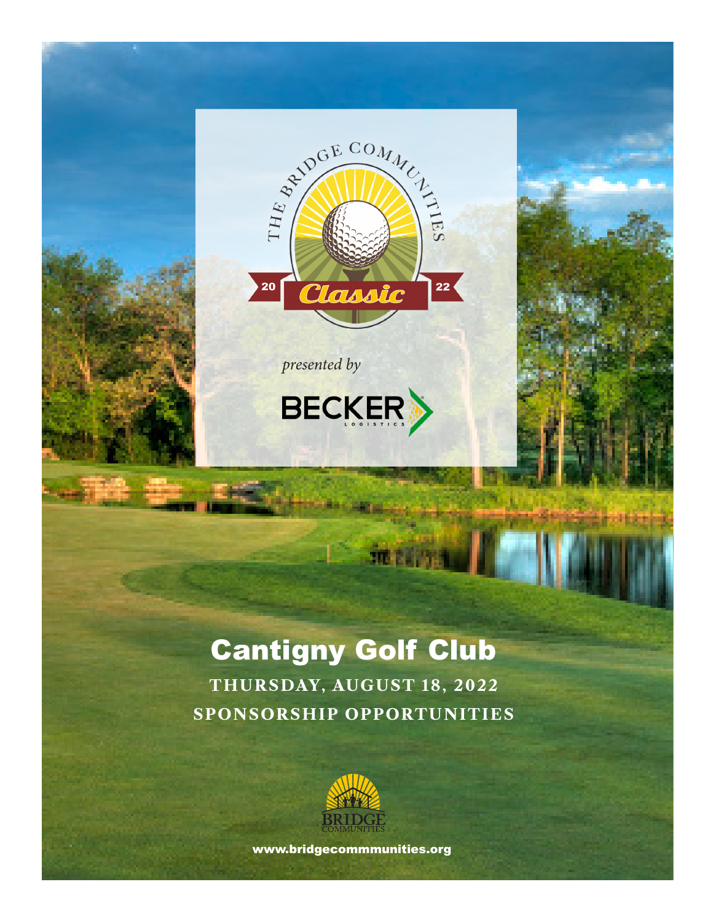

*presented by*



# Cantigny Golf Club

menys.

**THURSDAY, AUGUST 18, 2022 SPONSORSHIP OPPORTUNITIES**



www.bridgecommmunities.org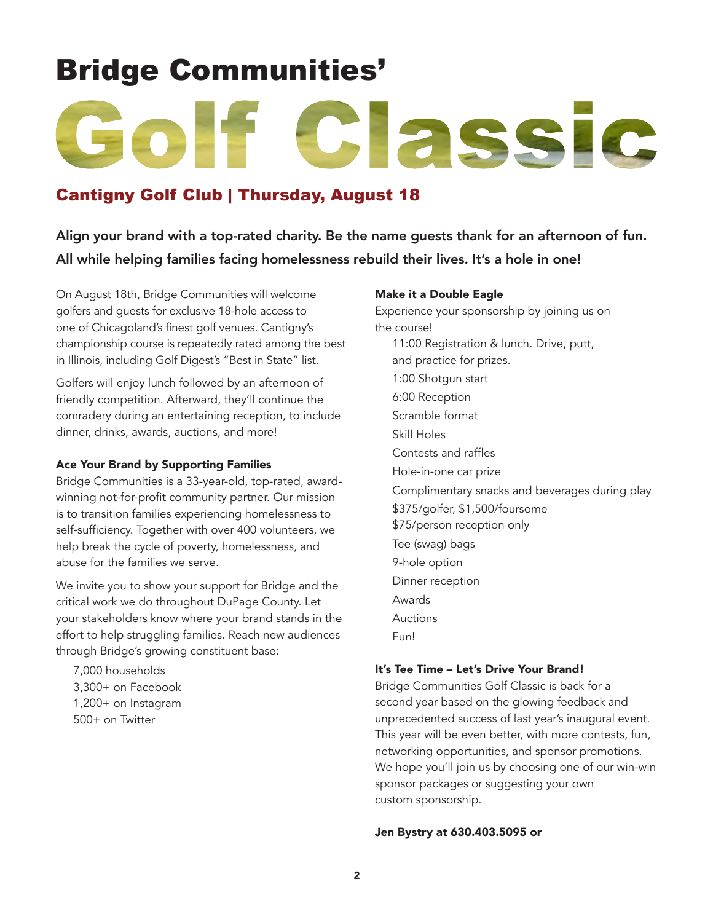# Bridge Communities'

# Classic

## Cantigny Golf Club | Thursday, August 18

## Align your brand with a top-rated charity. Be the name guests thank for an afternoon of fun. All while helping families facing homelessness rebuild their lives. It's a hole in one!

On August 18th, Bridge Communities will welcome golfers and guests for exclusive 18-hole access to one of Chicagoland's finest golf venues. Cantigny's championship course is repeatedly rated among the best in Illinois, including Golf Digest's "Best in State" list.

Golfers will enjoy lunch followed by an afternoon of friendly competition. Afterward, they'll continue the comradery during an entertaining reception, to include dinner, drinks, awards, auctions, and more!

#### Ace Your Brand by Supporting Families

Bridge Communities is a 33-year-old, top-rated, awardwinning not-for-profit community partner. Our mission is to transition families experiencing homelessness to self-sufficiency. Together with over 400 volunteers, we help break the cycle of poverty, homelessness, and abuse for the families we serve.

We invite you to show your support for Bridge and the critical work we do throughout DuPage County. Let your stakeholders know where your brand stands in the effort to help struggling families. Reach new audiences through Bridge's growing constituent base:

7,000 households 3,300+ on Facebook 1,200+ on Instagram 500+ on Twitter

#### Make it a Double Eagle

Experience your sponsorship by joining us on the course! 11:00 Registration & lunch. Drive, putt, and practice for prizes. 1:00 Shotgun start 6:00 Reception Scramble format Skill Holes Contests and raffles Hole-in-one car prize Complimentary snacks and beverages during play \$375/golfer, \$1,500/foursome \$75/person reception only Tee (swag) bags 9-hole option Dinner reception Awards Auctions Fun!

#### It's Tee Time – Let's Drive Your Brand!

Bridge Communities Golf Classic is back for a second year based on the glowing feedback and unprecedented success of last year's inaugural event. This year will be even better, with more contests, fun, networking opportunities, and sponsor promotions. We hope you'll join us by choosing one of our win-win sponsor packages or suggesting your own custom sponsorship.

#### Jen Bystry at 630.403.5095 or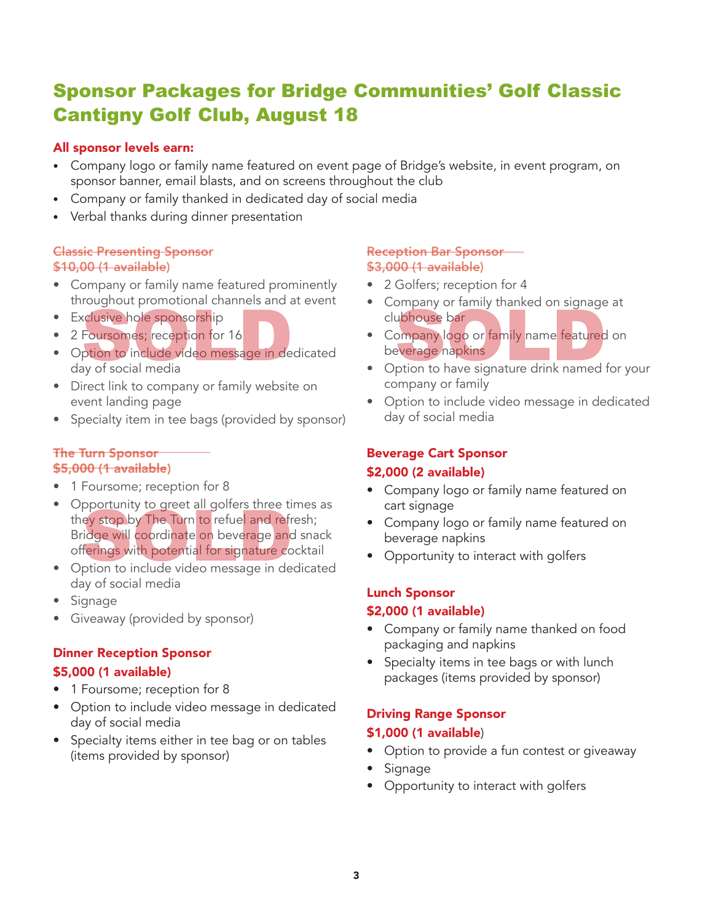# Sponsor Packages for Bridge Communities' Golf Classic Cantigny Golf Club, August 18

#### All sponsor levels earn:

- Company logo or family name featured on event page of Bridge's website, in event program, on sponsor banner, email blasts, and on screens throughout the club
- Company or family thanked in dedicated day of social media
- Verbal thanks during dinner presentation

#### Classic Presenting Sponsor \$10,00 (1 available)

- Company or family name featured prominently throughout promotional channels and at event
- Exclusive hole sponsorship
- 2 Foursomes; reception for 16
- Option to include video message in dedicated day of social media
- Direct link to company or family website on event landing page
- Specialty item in tee bags (provided by sponsor)

#### The Turn Sponsor \$5,000 (1 available)

- 1 Foursome; reception for 8
- Opportunity to greet all golfers three times as they stop by The Turn to refuel and refresh; Bridge will coordinate on beverage and snack offerings with potential for signature cocktail
- Option to include video message in dedicated day of social media
- Signage
- Giveaway (provided by sponsor)

# Dinner Reception Sponsor

#### \$5,000 (1 available)

- 1 Foursome; reception for 8
- Option to include video message in dedicated day of social media
- Specialty items either in tee bag or on tables (items provided by sponsor)

#### Reception Bar Sponsor \$3,000 (1 available)

- 2 Golfers; reception for 4
- Company or family thanked on signage at clubhouse bar
- Company logo or family name featured on beverage napkins
- Option to have signature drink named for your company or family
- Option to include video message in dedicated day of social media

#### Beverage Cart Sponsor

#### \$2,000 (2 available)

- Company logo or family name featured on cart signage
- Company logo or family name featured on beverage napkins
- Opportunity to interact with golfers

#### Lunch Sponsor \$2,000 (1 available)

- Company or family name thanked on food packaging and napkins
- Specialty items in tee bags or with lunch packages (items provided by sponsor)

#### Driving Range Sponsor

#### \$1,000 (1 available)

- Option to provide a fun contest or giveaway
- Signage
- Opportunity to interact with golfers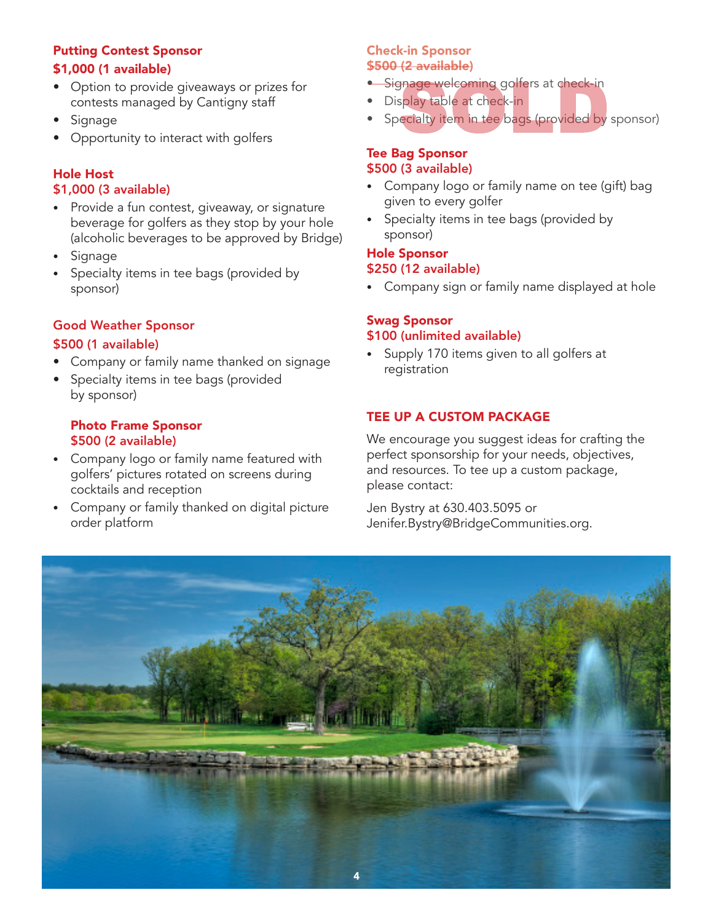#### Putting Contest Sponsor \$1,000 (1 available)

- Option to provide giveaways or prizes for contests managed by Cantigny staff
- **Signage**
- Opportunity to interact with golfers

#### Hole Host \$1,000 (3 available)

- Provide a fun contest, giveaway, or signature beverage for golfers as they stop by your hole (alcoholic beverages to be approved by Bridge)
- **Signage**
- Specialty items in tee bags (provided by sponsor)

#### Good Weather Sponsor \$500 (1 available)

- Company or family name thanked on signage
- Specialty items in tee bags (provided by sponsor)

#### Photo Frame Sponsor \$500 (2 available)

- Company logo or family name featured with golfers' pictures rotated on screens during cocktails and reception
- Company or family thanked on digital picture order platform

#### Check-in Sponsor \$500 (2 available)

- Signage welcoming golfers at check-in
- Display table at check-in
- Specialty item in tee bags (provided by sponsor)

#### Tee Bag Sponsor \$500 (3 available)

- Company logo or family name on tee (gift) bag given to every golfer
- Specialty items in tee bags (provided by sponsor)

## Hole Sponsor

#### \$250 (12 available)

• Company sign or family name displayed at hole

#### Swag Sponsor

#### \$100 (unlimited available)

• Supply 170 items given to all golfers at registration

#### TEE UP A CUSTOM PACKAGE

We encourage you suggest ideas for crafting the perfect sponsorship for your needs, objectives, and resources. To tee up a custom package, please contact:

Jen Bystry at 630.403.5095 or Jenifer.Bystry@BridgeCommunities.org.